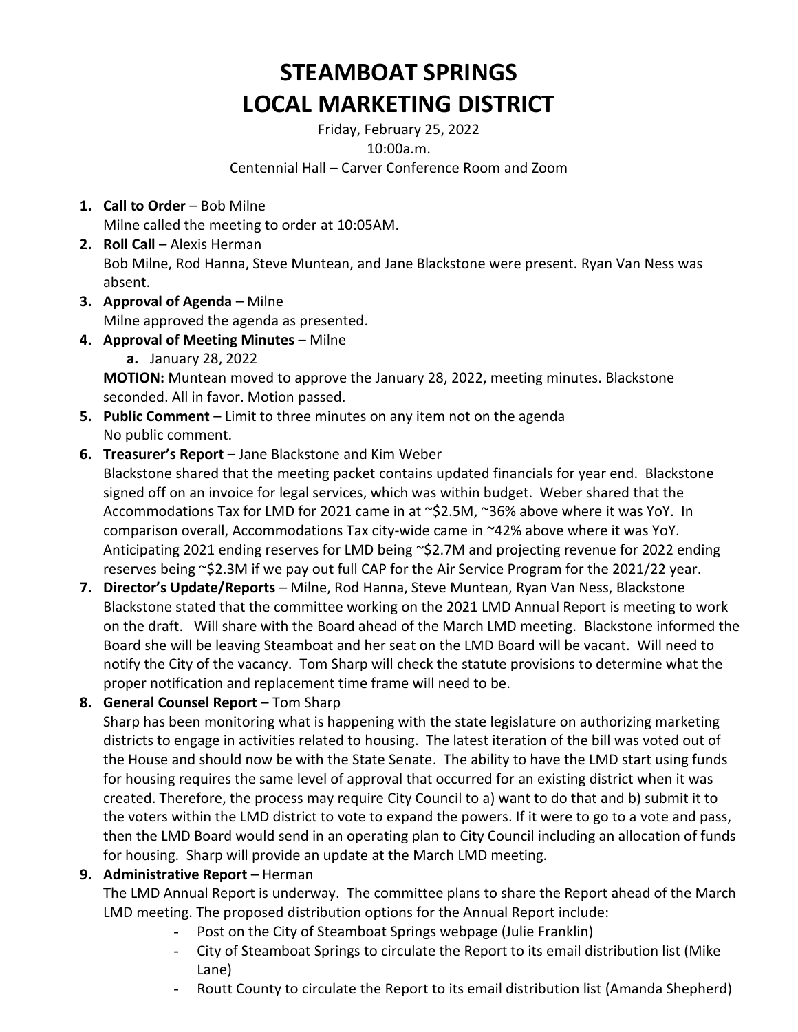# **STEAMBOAT SPRINGS LOCAL MARKETING DISTRICT**

Friday, February 25, 2022 10:00a.m. Centennial Hall – Carver Conference Room and Zoom

- **1. Call to Order** Bob Milne Milne called the meeting to order at 10:05AM.
- **2. Roll Call** Alexis Herman Bob Milne, Rod Hanna, Steve Muntean, and Jane Blackstone were present. Ryan Van Ness was absent.
- **3. Approval of Agenda** Milne Milne approved the agenda as presented.
- **4. Approval of Meeting Minutes** Milne **a.** January 28, 2022

**MOTION:** Muntean moved to approve the January 28, 2022, meeting minutes. Blackstone seconded. All in favor. Motion passed.

- **5. Public Comment** Limit to three minutes on any item not on the agenda No public comment.
- **6. Treasurer's Report** Jane Blackstone and Kim Weber Blackstone shared that the meeting packet contains updated financials for year end. Blackstone signed off on an invoice for legal services, which was within budget. Weber shared that the Accommodations Tax for LMD for 2021 came in at ~\$2.5M, ~36% above where it was YoY. In comparison overall, Accommodations Tax city-wide came in ~42% above where it was YoY. Anticipating 2021 ending reserves for LMD being ~\$2.7M and projecting revenue for 2022 ending reserves being ~\$2.3M if we pay out full CAP for the Air Service Program for the 2021/22 year.
- **7. Director's Update/Reports** Milne, Rod Hanna, Steve Muntean, Ryan Van Ness, Blackstone Blackstone stated that the committee working on the 2021 LMD Annual Report is meeting to work on the draft. Will share with the Board ahead of the March LMD meeting. Blackstone informed the Board she will be leaving Steamboat and her seat on the LMD Board will be vacant. Will need to notify the City of the vacancy. Tom Sharp will check the statute provisions to determine what the proper notification and replacement time frame will need to be.
- **8. General Counsel Report** Tom Sharp

Sharp has been monitoring what is happening with the state legislature on authorizing marketing districts to engage in activities related to housing. The latest iteration of the bill was voted out of the House and should now be with the State Senate. The ability to have the LMD start using funds for housing requires the same level of approval that occurred for an existing district when it was created. Therefore, the process may require City Council to a) want to do that and b) submit it to the voters within the LMD district to vote to expand the powers. If it were to go to a vote and pass, then the LMD Board would send in an operating plan to City Council including an allocation of funds for housing. Sharp will provide an update at the March LMD meeting.

## **9. Administrative Report** – Herman

The LMD Annual Report is underway. The committee plans to share the Report ahead of the March LMD meeting. The proposed distribution options for the Annual Report include:

- Post on the City of Steamboat Springs webpage (Julie Franklin)
- City of Steamboat Springs to circulate the Report to its email distribution list (Mike Lane)
- Routt County to circulate the Report to its email distribution list (Amanda Shepherd)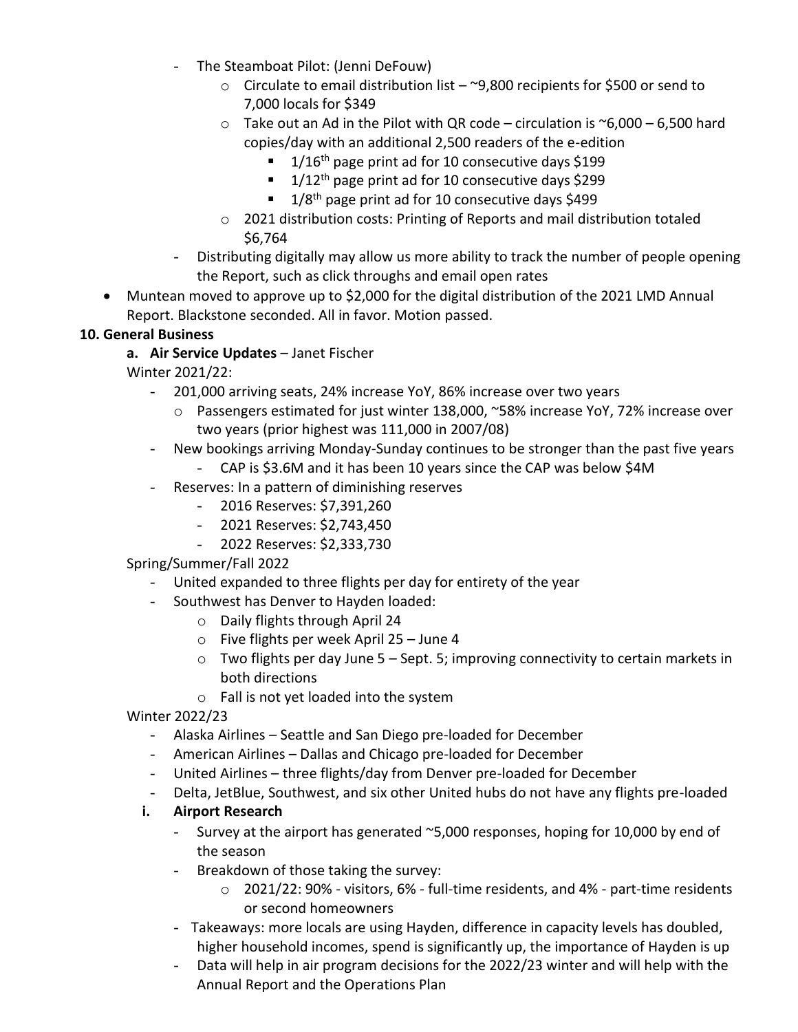- The Steamboat Pilot: (Jenni DeFouw)
	- $\circ$  Circulate to email distribution list ~9,800 recipients for \$500 or send to 7,000 locals for \$349
	- $\circ$  Take out an Ad in the Pilot with QR code circulation is  $\sim$  6,000 6,500 hard copies/day with an additional 2,500 readers of the e-edition
		- $\blacksquare$  1/16<sup>th</sup> page print ad for 10 consecutive days \$199
		- $1/12$ <sup>th</sup> page print ad for 10 consecutive days \$299
		- $1/8$ <sup>th</sup> page print ad for 10 consecutive days \$499
	- o 2021 distribution costs: Printing of Reports and mail distribution totaled \$6,764
- Distributing digitally may allow us more ability to track the number of people opening the Report, such as click throughs and email open rates
- Muntean moved to approve up to \$2,000 for the digital distribution of the 2021 LMD Annual Report. Blackstone seconded. All in favor. Motion passed.

## **10. General Business**

**a. Air Service Updates** – Janet Fischer

Winter 2021/22:

- 201,000 arriving seats, 24% increase YoY, 86% increase over two years
	- o Passengers estimated for just winter 138,000, ~58% increase YoY, 72% increase over two years (prior highest was 111,000 in 2007/08)
- New bookings arriving Monday-Sunday continues to be stronger than the past five years
	- CAP is \$3.6M and it has been 10 years since the CAP was below \$4M
- Reserves: In a pattern of diminishing reserves
	- 2016 Reserves: \$7,391,260
	- 2021 Reserves: \$2,743,450
	- 2022 Reserves: \$2,333,730

Spring/Summer/Fall 2022

- United expanded to three flights per day for entirety of the year
- Southwest has Denver to Hayden loaded:
	- o Daily flights through April 24
	- o Five flights per week April 25 June 4
	- $\circ$  Two flights per day June 5 Sept. 5; improving connectivity to certain markets in both directions
	- o Fall is not yet loaded into the system

Winter 2022/23

- Alaska Airlines Seattle and San Diego pre-loaded for December
- American Airlines Dallas and Chicago pre-loaded for December
- United Airlines three flights/day from Denver pre-loaded for December
- Delta, JetBlue, Southwest, and six other United hubs do not have any flights pre-loaded

## **i. Airport Research**

- Survey at the airport has generated ~5,000 responses, hoping for 10,000 by end of the season
- Breakdown of those taking the survey:
	- o 2021/22: 90% visitors, 6% full-time residents, and 4% part-time residents or second homeowners
- Takeaways: more locals are using Hayden, difference in capacity levels has doubled, higher household incomes, spend is significantly up, the importance of Hayden is up
- Data will help in air program decisions for the 2022/23 winter and will help with the Annual Report and the Operations Plan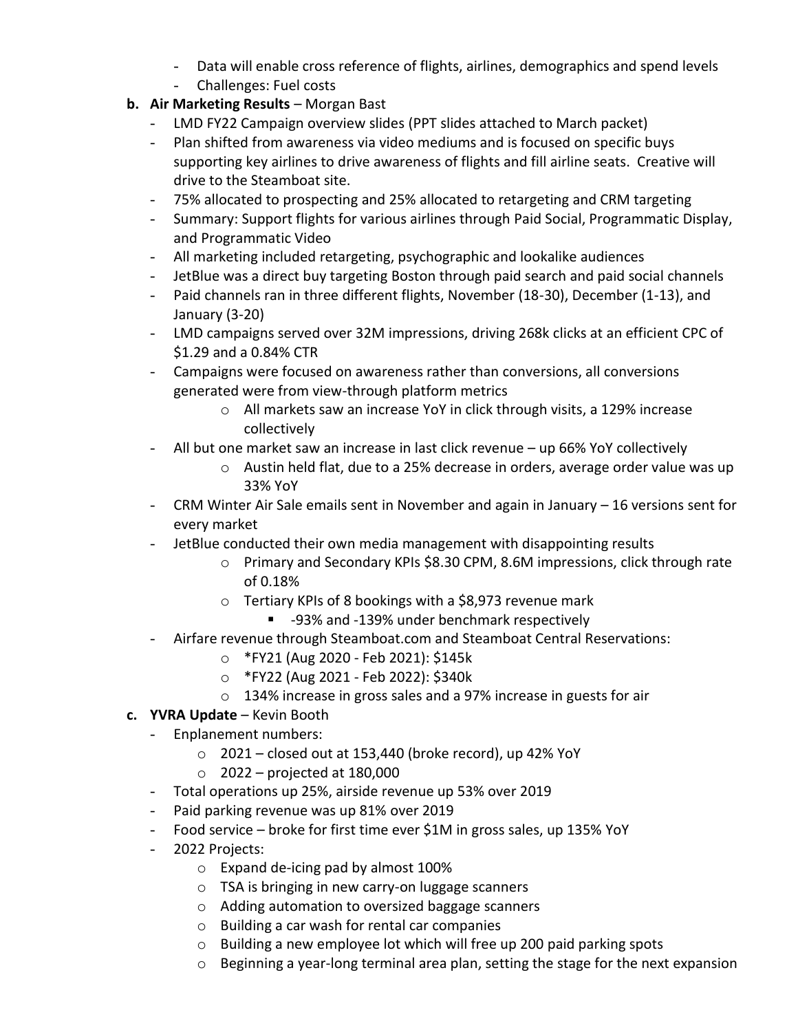- Data will enable cross reference of flights, airlines, demographics and spend levels
- Challenges: Fuel costs
- **b. Air Marketing Results** Morgan Bast
	- LMD FY22 Campaign overview slides (PPT slides attached to March packet)
	- Plan shifted from awareness via video mediums and is focused on specific buys supporting key airlines to drive awareness of flights and fill airline seats. Creative will drive to the Steamboat site.
	- 75% allocated to prospecting and 25% allocated to retargeting and CRM targeting
	- Summary: Support flights for various airlines through Paid Social, Programmatic Display, and Programmatic Video
	- All marketing included retargeting, psychographic and lookalike audiences
	- JetBlue was a direct buy targeting Boston through paid search and paid social channels
	- Paid channels ran in three different flights, November (18-30), December (1-13), and January (3-20)
	- LMD campaigns served over 32M impressions, driving 268k clicks at an efficient CPC of \$1.29 and a 0.84% CTR
	- Campaigns were focused on awareness rather than conversions, all conversions generated were from view-through platform metrics
		- o All markets saw an increase YoY in click through visits, a 129% increase collectively
	- All but one market saw an increase in last click revenue up 66% YoY collectively
		- $\circ$  Austin held flat, due to a 25% decrease in orders, average order value was up 33% YoY
	- CRM Winter Air Sale emails sent in November and again in January 16 versions sent for every market
	- JetBlue conducted their own media management with disappointing results
		- o Primary and Secondary KPIs \$8.30 CPM, 8.6M impressions, click through rate of 0.18%
		- o Tertiary KPIs of 8 bookings with a \$8,973 revenue mark
			- -93% and -139% under benchmark respectively
	- Airfare revenue through Steamboat.com and Steamboat Central Reservations:
		- o \*FY21 (Aug 2020 Feb 2021): \$145k
		- o \*FY22 (Aug 2021 Feb 2022): \$340k
		- o 134% increase in gross sales and a 97% increase in guests for air
- **c. YVRA Update** Kevin Booth
	- Enplanement numbers:
		- $\circ$  2021 closed out at 153,440 (broke record), up 42% YoY
		- $\circ$  2022 projected at 180,000
	- Total operations up 25%, airside revenue up 53% over 2019
	- Paid parking revenue was up 81% over 2019
	- Food service broke for first time ever \$1M in gross sales, up 135% YoY
	- 2022 Projects:
		- o Expand de-icing pad by almost 100%
		- o TSA is bringing in new carry-on luggage scanners
		- o Adding automation to oversized baggage scanners
		- o Building a car wash for rental car companies
		- o Building a new employee lot which will free up 200 paid parking spots
		- $\circ$  Beginning a year-long terminal area plan, setting the stage for the next expansion